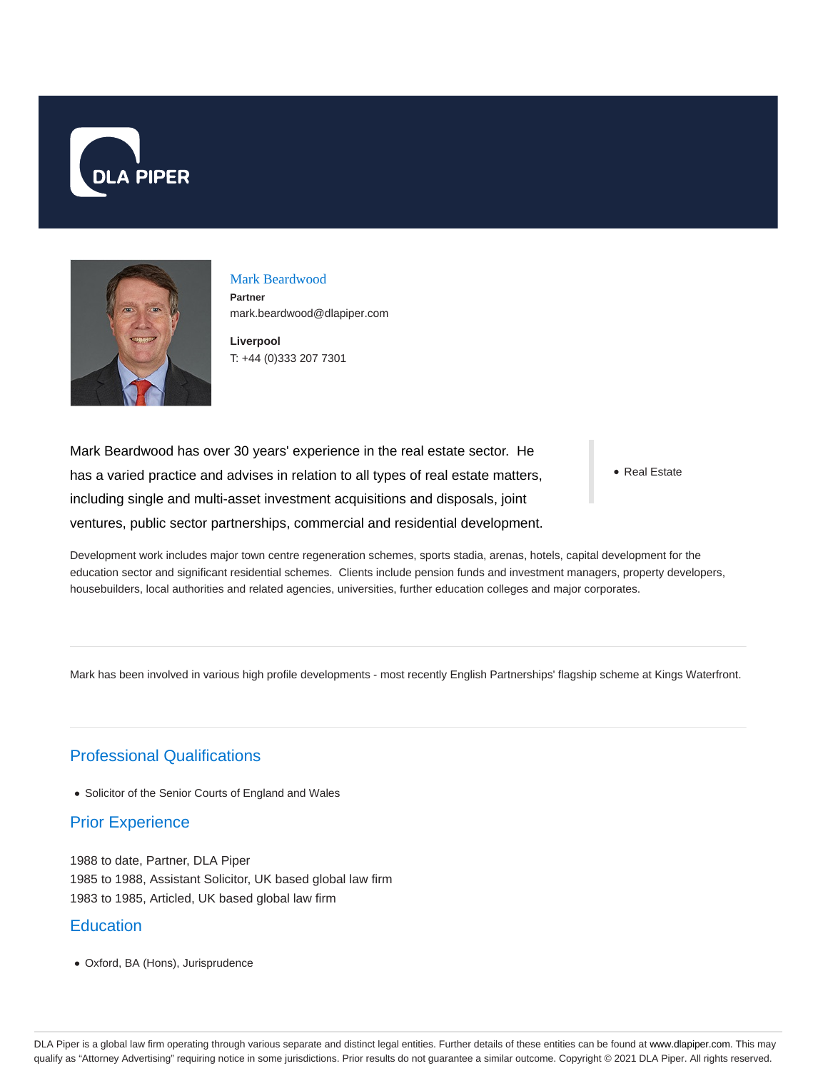



# Mark Beardwood

**Partner** mark.beardwood@dlapiper.com

**Liverpool** T: +44 (0)333 207 7301

Mark Beardwood has over 30 years' experience in the real estate sector. He has a varied practice and advises in relation to all types of real estate matters, including single and multi-asset investment acquisitions and disposals, joint ventures, public sector partnerships, commercial and residential development.

• Real Estate

Development work includes major town centre regeneration schemes, sports stadia, arenas, hotels, capital development for the education sector and significant residential schemes. Clients include pension funds and investment managers, property developers, housebuilders, local authorities and related agencies, universities, further education colleges and major corporates.

Mark has been involved in various high profile developments - most recently English Partnerships' flagship scheme at Kings Waterfront.

### Professional Qualifications

• Solicitor of the Senior Courts of England and Wales

#### Prior Experience

1988 to date, Partner, DLA Piper 1985 to 1988, Assistant Solicitor, UK based global law firm 1983 to 1985, Articled, UK based global law firm

#### **Education**

Oxford, BA (Hons), Jurisprudence

DLA Piper is a global law firm operating through various separate and distinct legal entities. Further details of these entities can be found at www.dlapiper.com. This may qualify as "Attorney Advertising" requiring notice in some jurisdictions. Prior results do not guarantee a similar outcome. Copyright @ 2021 DLA Piper. All rights reserved.